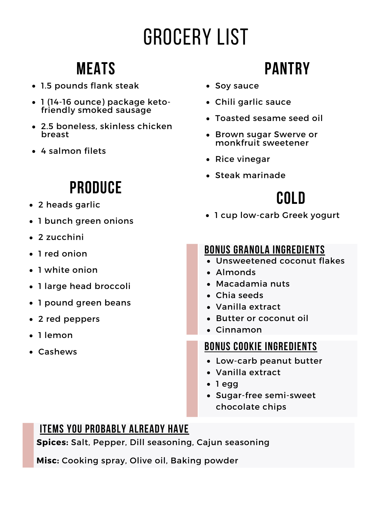# Grocery List

### **Meats**

- 1.5 pounds flank steak
- 1 (14-16 ounce) package ketofriendly smoked sausage
- 2.5 boneless, skinless chicken breast
- 4 salmon filets

## **Produce**

- 2 heads garlic
- 1 bunch green onions
- 2 zucchini
- 1 red onion
- 1 white onion
- 1 large head broccoli
- 1 pound green beans
- 2 red peppers
- 1 lemon
- Cashews

# **Pantry**

- Soy sauce
- Chili garlic sauce
- Toasted sesame seed oil
- Brown sugar Swerve or monkfruit sweetener
- Rice vinegar
- Steak marinade

# **Cold**

1 cup low-carb Greek yogurt

### **Bonus granola ingredients**

- Unsweetened coconut flakes
- Almonds
- Macadamia nuts
- Chia seeds
- Vanilla extract
- Butter or coconut oil
- Cinnamon

#### **Bonus cookie ingredients**

- Low-carb peanut butter
- Vanilla extract
- 1 egg
- Sugar-free semi-sweet chocolate chips

### **Items you probably already have**

**Spices:** Salt, Pepper, Dill seasoning, Cajun seasoning

**Misc:** Cooking spray, Olive oil, Baking powder